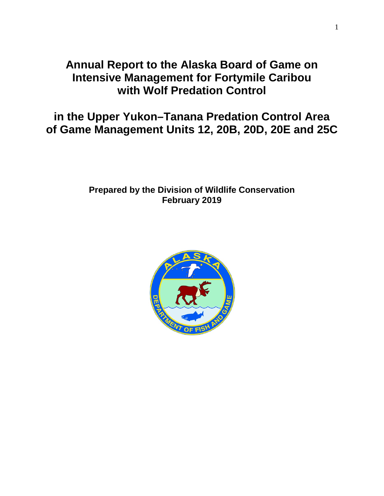# **Annual Report to the Alaska Board of Game on Intensive Management for Fortymile Caribou with Wolf Predation Control**

**in the Upper Yukon–Tanana Predation Control Area of Game Management Units 12, 20B, 20D, 20E and 25C**

# **Prepared by the Division of Wildlife Conservation February 2019**

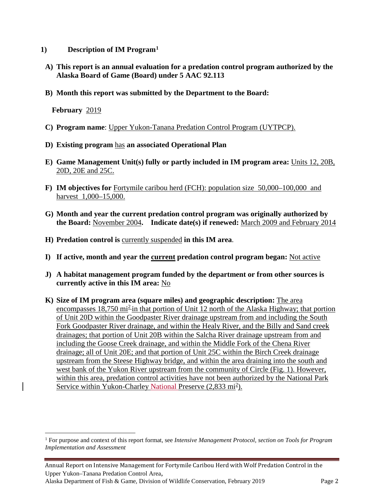- **1) Description of IM Program[1](#page-1-0)**
	- **A) This report is an annual evaluation for a predation control program authorized by the Alaska Board of Game (Board) under 5 AAC 92.113**
	- **B) Month this report was submitted by the Department to the Board:**

**February** 2019

- **C) Program name**: Upper Yukon-Tanana Predation Control Program (UYTPCP).
- **D) Existing program** has **an associated Operational Plan**
- **E) Game Management Unit(s) fully or partly included in IM program area:** Units 12, 20B, 20D, 20E and 25C.
- **F) IM objectives for** Fortymile caribou herd (FCH): population size 50,000–100,000 and harvest 1,000–15,000.
- **G) Month and year the current predation control program was originally authorized by the Board:** November 2004**. Indicate date(s) if renewed:** March 2009 and February 2014
- **H) Predation control is** currently suspended **in this IM area**.
- **I) If active, month and year the current predation control program began:** Not active
- **J) A habitat management program funded by the department or from other sources is currently active in this IM area:** No
- **K) Size of IM program area (square miles) and geographic description:** The area encompasses 18,750 mi<sup>2</sup> in that portion of Unit 12 north of the Alaska Highway; that portion of Unit 20D within the Goodpaster River drainage upstream from and including the South Fork Goodpaster River drainage, and within the Healy River, and the Billy and Sand creek drainages; that portion of Unit 20B within the Salcha River drainage upstream from and including the Goose Creek drainage, and within the Middle Fork of the Chena River drainage; all of Unit 20E; and that portion of Unit 25C within the Birch Creek drainage upstream from the Steese Highway bridge, and within the area draining into the south and west bank of the Yukon River upstream from the community of Circle (Fig. 1). However, within this area, predation control activities have not been authorized by the National Park Service within Yukon-Charley National Preserve (2,833 mi<sup>2</sup>).

<span id="page-1-0"></span> <sup>1</sup> For purpose and context of this report format, see *Intensive Management Protocol, section on Tools for Program Implementation and Assessment*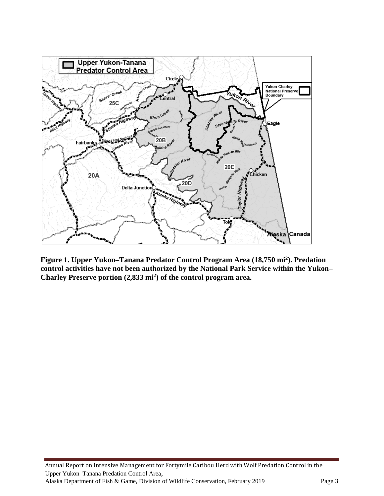

**Figure 1. Upper Yukon–Tanana Predator Control Program Area (18,750 mi2). Predation control activities have not been authorized by the National Park Service within the Yukon– Charley Preserve portion (2,833 mi2) of the control program area.**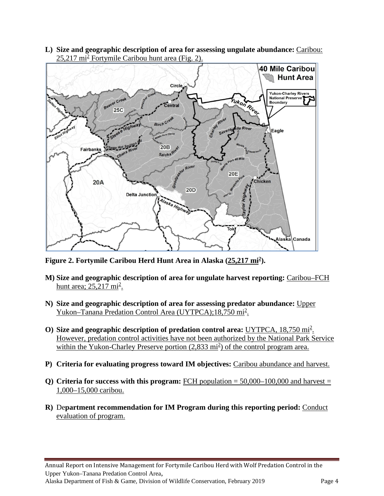**L) Size and geographic description of area for assessing ungulate abundance:** Caribou:  $25,217$  mi<sup>2</sup> Fortymile Caribou hunt area (Fig. 2).



**Figure 2. Fortymile Caribou Herd Hunt Area in Alaska (25,217 mi2).**

- **M) Size and geographic description of area for ungulate harvest reporting:** Caribou–FCH hunt area; 25,217 mi<sup>2</sup>.
- **N) Size and geographic description of area for assessing predator abundance:** Upper Yukon–Tanana Predation Control Area (UYTPCA);18,750 mi<sup>2</sup>.
- O) Size and geographic description of predation control area: UYTPCA, 18,750 mi<sup>2</sup>. However, predation control activities have not been authorized by the National Park Service within the Yukon-Charley Preserve portion (2,833 mi<sup>2</sup>) of the control program area.
- **P) Criteria for evaluating progress toward IM objectives:** Caribou abundance and harvest.
- **Q) Criteria for success with this program:** FCH population = 50,000–100,000 and harvest = 1,000–15,000 caribou.
- **R)** De**partment recommendation for IM Program during this reporting period:** Conduct evaluation of program.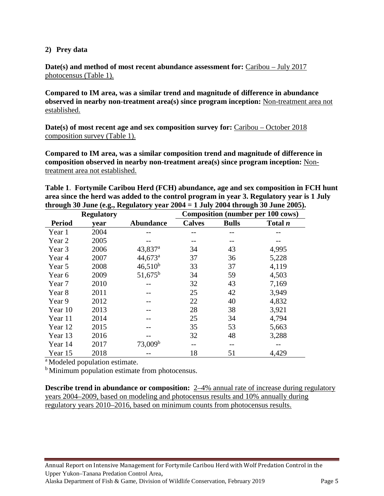#### **2) Prey data**

**Date(s) and method of most recent abundance assessment for:** Caribou – July 2017 photocensus (Table 1).

**Compared to IM area, was a similar trend and magnitude of difference in abundance observed in nearby non-treatment area(s) since program inception:** Non-treatment area not established.

**Date(s) of most recent age and sex composition survey for:** Caribou – October 2018 composition survey (Table 1).

**Compared to IM area, was a similar composition trend and magnitude of difference in composition observed in nearby non-treatment area(s) since program inception:** Nontreatment area not established.

**Table 1**. **Fortymile Caribou Herd (FCH) abundance, age and sex composition in FCH hunt area since the herd was added to the control program in year 3. Regulatory year is 1 July through 30 June (e.g., Regulatory year 2004 = 1 July 2004 through 30 June 2005).**

|               | <b>Regulatory</b> |                     | <b>Composition (number per 100 cows)</b> |              |           |  |
|---------------|-------------------|---------------------|------------------------------------------|--------------|-----------|--|
| <b>Period</b> | year              | <b>Abundance</b>    | <b>Calves</b>                            | <b>Bulls</b> | Total $n$ |  |
| Year 1        | 2004              |                     |                                          |              |           |  |
| Year 2        | 2005              |                     |                                          |              |           |  |
| Year 3        | 2006              | 43,837 <sup>a</sup> | 34                                       | 43           | 4,995     |  |
| Year 4        | 2007              | 44,673 <sup>a</sup> | 37                                       | 36           | 5,228     |  |
| Year 5        | 2008              | $46,510^{b}$        | 33                                       | 37           | 4,119     |  |
| Year 6        | 2009              | $51,675^{\rm b}$    | 34                                       | 59           | 4,503     |  |
| Year 7        | 2010              |                     | 32                                       | 43           | 7,169     |  |
| Year 8        | 2011              |                     | 25                                       | 42           | 3,949     |  |
| Year 9        | 2012              |                     | 22                                       | 40           | 4,832     |  |
| Year 10       | 2013              |                     | 28                                       | 38           | 3,921     |  |
| Year 11       | 2014              |                     | 25                                       | 34           | 4,794     |  |
| Year 12       | 2015              |                     | 35                                       | 53           | 5,663     |  |
| Year 13       | 2016              |                     | 32                                       | 48           | 3,288     |  |
| Year 14       | 2017              | 73,009 <sup>b</sup> | --                                       | --           |           |  |
| Year 15       | 2018              |                     | 18                                       | 51           | 4,429     |  |

a Modeled population estimate.

<sup>b</sup> Minimum population estimate from photocensus.

**Describe trend in abundance or composition:** 2–4% annual rate of increase during regulatory years 2004–2009, based on modeling and photocensus results and 10% annually during regulatory years 2010–2016, based on minimum counts from photocensus results.

Annual Report on Intensive Management for Fortymile Caribou Herd with Wolf Predation Control in the Upper Yukon–Tanana Predation Control Area, Alaska Department of Fish & Game, Division of Wildlife Conservation, February 2019 Page 5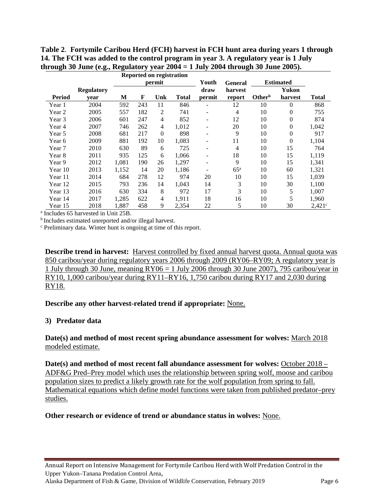**Table 2**. **Fortymile Caribou Herd (FCH) harvest in FCH hunt area during years 1 through 14. The FCH was added to the control program in year 3. A regulatory year is 1 July through 30 June (e.g., Regulatory year 2004 = 1 July 2004 through 30 June 2005).** 

|         |                   | <b>Reported on registration</b> |     |                |       |                          |                  |                    |                |                 |
|---------|-------------------|---------------------------------|-----|----------------|-------|--------------------------|------------------|--------------------|----------------|-----------------|
|         |                   | permit                          |     |                | Youth | <b>General</b>           | <b>Estimated</b> |                    |                |                 |
|         | <b>Regulatory</b> |                                 |     |                |       | draw                     | harvest          |                    | Yukon          |                 |
| Period  | vear              | M                               | F   | Unk            | Total | permit                   | report           | Other <sup>b</sup> | harvest        | <b>Total</b>    |
| Year 1  | 2004              | 592                             | 243 | 11             | 846   |                          | 12               | 10                 | $\theta$       | 868             |
| Year 2  | 2005              | 557                             | 182 | 2              | 741   | $\overline{\phantom{0}}$ | 4                | 10                 | 0              | 755             |
| Year 3  | 2006              | 601                             | 247 | $\overline{4}$ | 852   | $\overline{\phantom{0}}$ | 12               | 10                 | $\overline{0}$ | 874             |
| Year 4  | 2007              | 746                             | 262 | $\overline{4}$ | 1,012 |                          | 20               | 10                 | 0              | 1,042           |
| Year 5  | 2008              | 681                             | 217 | $\theta$       | 898   |                          | 9                | 10                 | 0              | 917             |
| Year 6  | 2009              | 881                             | 192 | 10             | 1,083 |                          | 11               | 10                 | $\theta$       | 1,104           |
| Year 7  | 2010              | 630                             | 89  | 6              | 725   | $\overline{\phantom{0}}$ | 4                | 10                 | 15             | 764             |
| Year 8  | 2011              | 935                             | 125 | 6              | 1,066 | $\overline{\phantom{0}}$ | 18               | 10                 | 15             | 1,119           |
| Year 9  | 2012              | 1,081                           | 190 | 26             | 1,297 | -                        | 9                | 10                 | 15             | 1,341           |
| Year 10 | 2013              | 1,152                           | 14  | 20             | 1,186 |                          | $65^{\rm a}$     | 10                 | 60             | 1,321           |
| Year 11 | 2014              | 684                             | 278 | 12             | 974   | 20                       | 10               | 10                 | 15             | 1,039           |
| Year 12 | 2015              | 793                             | 236 | 14             | 1.043 | 14                       | 3                | 10                 | 30             | 1,100           |
| Year 13 | 2016              | 630                             | 334 | 8              | 972   | 17                       | 3                | 10                 | 5              | 1,007           |
| Year 14 | 2017              | 1,285                           | 622 | $\overline{4}$ | 1,911 | 18                       | 16               | 10                 | 5              | 1,960           |
| Year 15 | 2018              | 1,887                           | 458 | 9              | 2,354 | 22                       | 5                | 10                 | 30             | $2,421^{\circ}$ |

<sup>a</sup> Includes 65 harvested in Unit 25B.

b Includes estimated unreported and/or illegal harvest.

<sup>c</sup> Preliminary data. Winter hunt is ongoing at time of this report.

**Describe trend in harvest:** Harvest controlled by fixed annual harvest quota. Annual quota was 850 caribou/year during regulatory years 2006 through 2009 (RY06–RY09; A regulatory year is 1 July through 30 June, meaning RY06 = 1 July 2006 through 30 June 2007), 795 caribou/year in RY10, 1,000 caribou/year during RY11–RY16, 1,750 caribou during RY17 and 2,030 during RY18.

**Describe any other harvest-related trend if appropriate:** None.

# **3) Predator data**

#### **Date(s) and method of most recent spring abundance assessment for wolves:** March 2018 modeled estimate.

**Date(s) and method of most recent fall abundance assessment for wolves:** October 2018 – ADF&G Pred–Prey model which uses the relationship between spring wolf, moose and caribou population sizes to predict a likely growth rate for the wolf population from spring to fall. Mathematical equations which define model functions were taken from published predator–prey studies.

# **Other research or evidence of trend or abundance status in wolves:** None.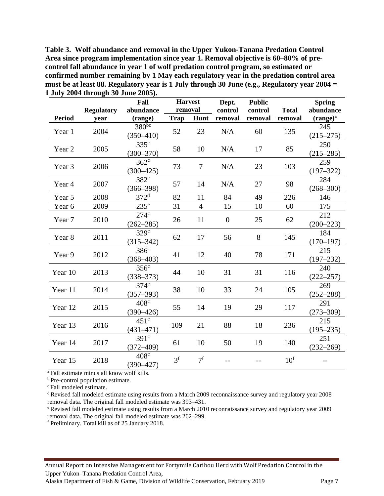**Table 3. Wolf abundance and removal in the Upper Yukon-Tanana Predation Control Area since program implementation since year 1. Removal objective is 60–80% of precontrol fall abundance in year 1 of wolf predation control program, so estimated or confirmed number remaining by 1 May each regulatory year in the predation control area must be at least 88. Regulatory year is 1 July through 30 June (e.g., Regulatory year 2004 = 1 July 2004 through 30 June 2005).**

|               | <b>Regulatory</b> | Fall<br>abundance                 | <b>Harvest</b><br>removal |                | Dept.<br>control | <b>Public</b><br>control | <b>Total</b>    | <b>Spring</b><br>abundance |
|---------------|-------------------|-----------------------------------|---------------------------|----------------|------------------|--------------------------|-----------------|----------------------------|
| <b>Period</b> | year              | (range)                           | <b>Trap</b>               | Hunt           | removal          | removal                  | removal         | $(range)^a$                |
| Year 1        | 2004              | $380^{bc}$<br>$(350 - 410)$       | 52                        | 23             | N/A              | 60                       | 135             | 245<br>$(215 - 275)$       |
| Year 2        | 2005              | $335^{\circ}$<br>$(300 - 370)$    | 58                        | 10             | N/A              | 17                       | 85              | 250<br>$(215 - 285)$       |
| Year 3        | 2006              | $362^{\circ}$<br>$(300 - 425)$    | 73                        | 7              | N/A              | 23                       | 103             | 259<br>$(197 - 322)$       |
| Year 4        | 2007              | $382^{\circ}$<br>$(366 - 398)$    | 57                        | 14             | N/A              | 27                       | 98              | 284<br>$(268 - 300)$       |
| Year 5        | 2008              | $372^{\mathrm{d}}$                | 82                        | 11             | 84               | 49                       | 226             | 146                        |
| Year 6        | 2009              | $235^{\circ}$                     | 31                        | 4              | 15               | 10                       | 60              | 175                        |
| Year 7        | 2010              | $274^\circ$<br>$(262 - 285)$      | 26                        | 11             | $\overline{0}$   | 25                       | 62              | 212<br>$(200 - 223)$       |
| Year 8        | 2011              | 329 <sup>c</sup><br>$(315 - 342)$ | 62                        | 17             | 56               | 8                        | 145             | 184<br>$(170 - 197)$       |
| Year 9        | 2012              | 386 <sup>c</sup><br>$(368 - 403)$ | 41                        | 12             | 40               | 78                       | 171             | 215<br>$(197 - 232)$       |
| Year 10       | 2013              | 356 <sup>c</sup><br>$(338 - 373)$ | 44                        | 10             | 31               | 31                       | 116             | 240<br>$(222 - 257)$       |
| Year 11       | 2014              | $374^{\circ}$<br>$(357 - 393)$    | 38                        | 10             | 33               | 24                       | 105             | 269<br>$(252 - 288)$       |
| Year 12       | 2015              | $408^\circ$<br>$(390 - 426)$      | 55                        | 14             | 19               | 29                       | 117             | 291<br>$(273 - 309)$       |
| Year 13       | 2016              | 451 <sup>c</sup><br>$(431 - 471)$ | 109                       | 21             | 88               | 18                       | 236             | 215<br>$(195 - 235)$       |
| Year 14       | 2017              | 391 <sup>c</sup><br>$(372 - 409)$ | 61                        | 10             | 50               | 19                       | 140             | 251<br>$(232 - 269)$       |
| Year 15       | 2018              | $408^\circ$<br>$(390 - 427)$      | 3 <sup>f</sup>            | 7 <sup>f</sup> |                  |                          | 10 <sup>f</sup> |                            |

<sup>a</sup> Fall estimate minus all know wolf kills.

**b** Pre-control population estimate.

c Fall modeled estimate.

d Revised fall modeled estimate using results from a March 2009 reconnaissance survey and regulatory year 2008 removal data. The original fall modeled estimate was 393–431.

e Revised fall modeled estimate using results from a March 2010 reconnaissance survey and regulatory year 2009 removal data. The original fall modeled estimate was 262–299.

<sup>f</sup> Preliminary. Total kill as of 25 January 2018.

Annual Report on Intensive Management for Fortymile Caribou Herd with Wolf Predation Control in the Upper Yukon–Tanana Predation Control Area,

Alaska Department of Fish & Game, Division of Wildlife Conservation, February 2019 Page 7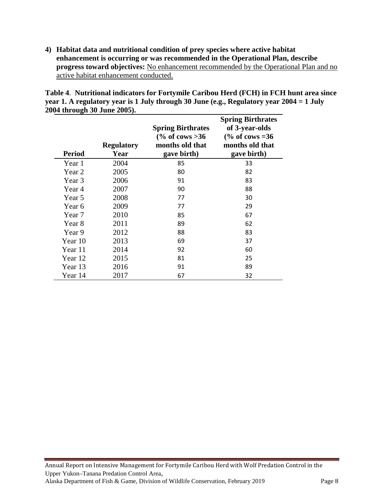**4) Habitat data and nutritional condition of prey species where active habitat enhancement is occurring or was recommended in the Operational Plan, describe progress toward objectives:** No enhancement recommended by the Operational Plan and no active habitat enhancement conducted.

**Table 4**. **Nutritional indicators for Fortymile Caribou Herd (FCH) in FCH hunt area since year 1. A regulatory year is 1 July through 30 June (e.g., Regulatory year 2004 = 1 July 2004 through 30 June 2005).**

| <b>Period</b> | <b>Regulatory</b><br>Year | <b>Spring Birthrates</b><br>$\frac{6}{6}$ of cows > 36<br>months old that<br>gave birth) | <b>Spring Birthrates</b><br>of 3-year-olds<br>$\frac{6}{6}$ of cows = 36<br>months old that<br>gave birth) |
|---------------|---------------------------|------------------------------------------------------------------------------------------|------------------------------------------------------------------------------------------------------------|
| Year 1        | 2004                      | 85                                                                                       | 33                                                                                                         |
| Year 2        | 2005                      | 80                                                                                       | 82                                                                                                         |
| Year 3        | 2006                      | 91                                                                                       | 83                                                                                                         |
| Year 4        | 2007                      | 90                                                                                       | 88                                                                                                         |
| Year 5        | 2008                      | 77                                                                                       | 30                                                                                                         |
| Year 6        | 2009                      | 77                                                                                       | 29                                                                                                         |
| Year 7        | 2010                      | 85                                                                                       | 67                                                                                                         |
| Year 8        | 2011                      | 89                                                                                       | 62                                                                                                         |
| Year 9        | 2012                      | 88                                                                                       | 83                                                                                                         |
| Year 10       | 2013                      | 69                                                                                       | 37                                                                                                         |
| Year 11       | 2014                      | 92                                                                                       | 60                                                                                                         |
| Year 12       | 2015                      | 81                                                                                       | 25                                                                                                         |
| Year 13       | 2016                      | 91                                                                                       | 89                                                                                                         |
| Year 14       | 2017                      | 67                                                                                       | 32                                                                                                         |